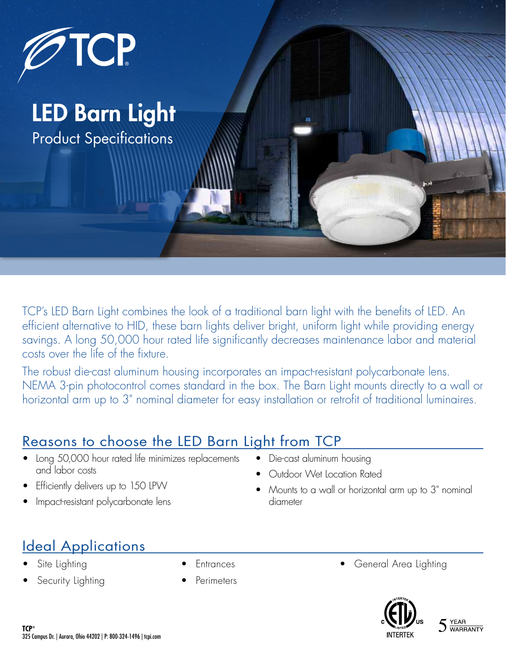

LED Barn Light Product Specifications

TCP's LED Barn Light combines the look of a traditional barn light with the benefits of LED. An efficient alternative to HID, these barn lights deliver bright, uniform light while providing energy savings. A long 50,000 hour rated life significantly decreases maintenance labor and material costs over the life of the fixture.

The robust die-cast aluminum housing incorporates an impact-resistant polycarbonate lens. NEMA 3-pin photocontrol comes standard in the box. The Barn Light mounts directly to a wall or horizontal arm up to 3" nominal diameter for easy installation or retrofit of traditional luminaires.

## Reasons to choose the LED Barn Light from TCP

- Long 50,000 hour rated life minimizes replacements and labor costs
- Efficiently delivers up to 150 LPW
- Impact-resistant polycarbonate lens
- Die-cast aluminum housing
- Outdoor Wet Location Rated
- Mounts to a wall or horizontal arm up to 3" nominal diameter

## Ideal Applications

- Site Lighting
- Security Lighting
- **Entrances**
- **Perimeters**